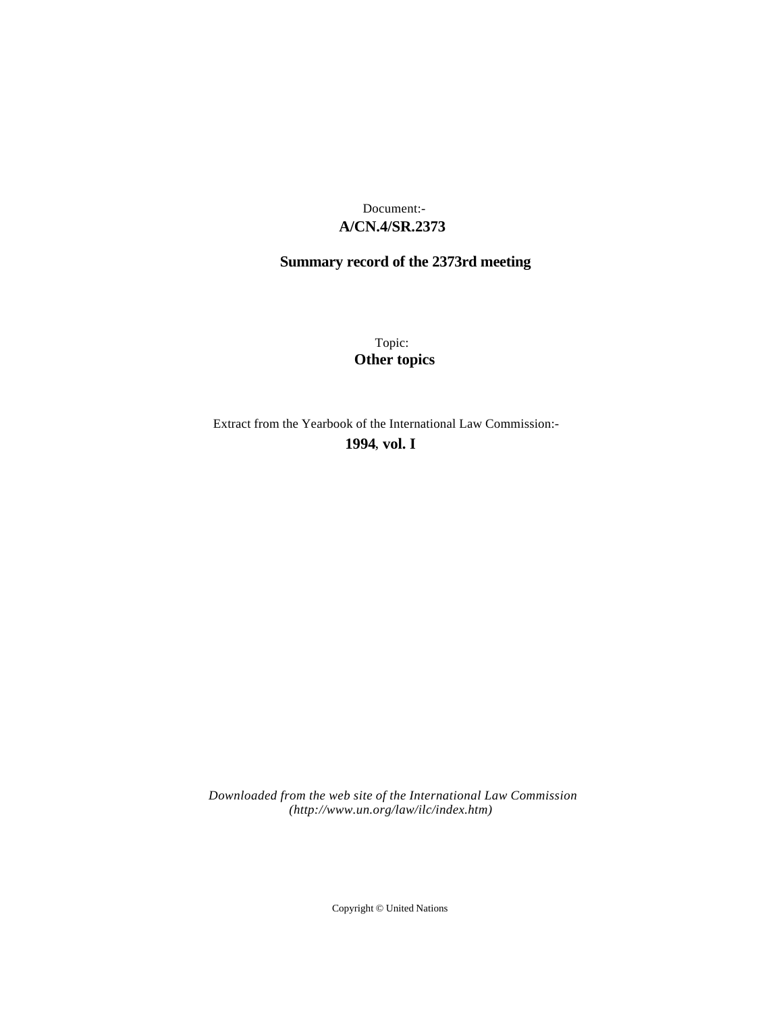## **A/CN.4/SR.2373** Document:-

# **Summary record of the 2373rd meeting**

Topic: **Other topics**

Extract from the Yearbook of the International Law Commission:-

**1994** , **vol. I**

*Downloaded from the web site of the International Law Commission (http://www.un.org/law/ilc/index.htm)*

Copyright © United Nations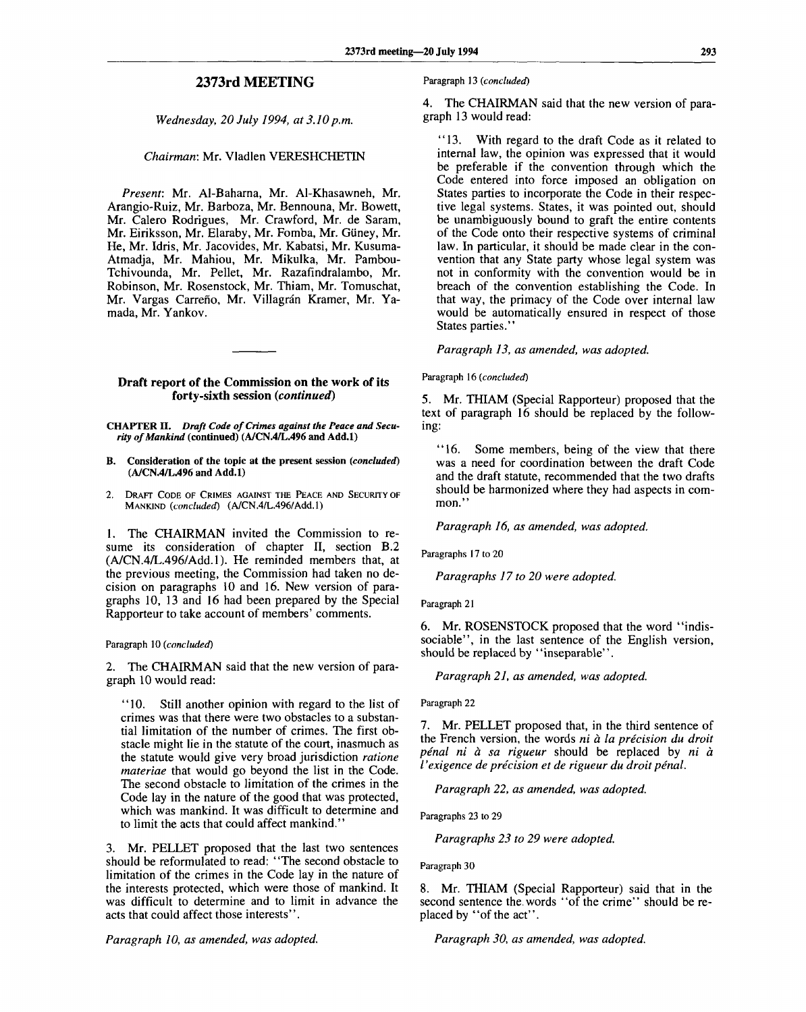## **2373rd MEETING**

### *Wednesday, 20 July 1994, at 3.10 p.m.*

#### *Chairman:* Mr. Vladlen VERESHCHETIN

*Present:* Mr. Al-Baharna, Mr. Al-Khasawneh, Mr. Arangio-Ruiz, Mr. Barboza, Mr. Bennouna, Mr. Bowett, Mr. Calero Rodrigues, Mr. Crawford, Mr. de Saram, Mr. Eiriksson, Mr. Elaraby, Mr. Fomba, Mr. Giiney, Mr. He, Mr. Idris, Mr. Jacovides, Mr. Kabatsi, Mr. Kusuma-Atmadja, Mr. Mahiou, Mr. Mikulka, Mr. Pambou-Tchivounda, Mr. Pellet, Mr. Razafindralambo, Mr. Robinson, Mr. Rosenstock, Mr. Thiam, Mr. Tomuschat, Mr. Vargas Carreño, Mr. Villagrán Kramer, Mr. Yamada, Mr. Yankov.

#### **Draft report of the Commission on the work of its forty-sixth session** *{continued)*

**CHAPTER II.** *Draft Code of Crimes against the Peace and Security of Mankind* **(continued) (A/CN.4/L.496 and Add.l)**

- **B. Consideration of the topic at the present session** *(concluded)* **(A/CN.4/L.496 and Add.l)**
- 2. DRAFT CODE OF CRIMES AGAINST THE PEACE AND SECURITY OF MANKIND *(concluded)* (A/CN.4/L.496/Add.l)

1. The CHAIRMAN invited the Commission to resume its consideration of chapter II, section B.2 (A/CN.4/L.496/Add.l). He reminded members that, at the previous meeting, the Commission had taken no decision on paragraphs 10 and 16. New version of paragraphs 10, 13 and 16 had been prepared by the Special Rapporteur to take account of members' comments.

#### Paragraph 10 *(concluded)*

2. The CHAIRMAN said that the new version of paragraph 10 would read:

"10. Still another opinion with regard to the list of crimes was that there were two obstacles to a substantial limitation of the number of crimes. The first obstacle might lie in the statute of the court, inasmuch as the statute would give very broad jurisdiction *ratione materiae* that would go beyond the list in the Code. The second obstacle to limitation of the crimes in the Code lay in the nature of the good that was protected, which was mankind. It was difficult to determine and to limit the acts that could affect mankind."

3. Mr. PELLET proposed that the last two sentences should be reformulated to read: "The second obstacle to limitation of the crimes in the Code lay in the nature of the interests protected, which were those of mankind. It was difficult to determine and to limit in advance the acts that could affect those interests".

Paragraph 13 *(concluded)*

4. The CHAIRMAN said that the new version of paragraph 13 would read:

"13. With regard to the draft Code as it related to internal law, the opinion was expressed that it would be preferable if the convention through which the Code entered into force imposed an obligation on States parties to incorporate the Code in their respective legal systems. States, it was pointed out, should be unambiguously bound to graft the entire contents of the Code onto their respective systems of criminal law. In particular, it should be made clear in the convention that any State party whose legal system was not in conformity with the convention would be in breach of the convention establishing the Code. In that way, the primacy of the Code over internal law would be automatically ensured in respect of those States parties."

*Paragraph 13, as amended, was adopted.*

#### Paragraph 16 *(concluded)*

5. Mr. THIAM (Special Rapporteur) proposed that the text of paragraph 16 should be replaced by the following:

"16. Some members, being of the view that there was a need for coordination between the draft Code and the draft statute, recommended that the two drafts should be harmonized where they had aspects in common."

*Paragraph 16, as amended, was adopted.*

Paragraphs 17 to 20

*Paragraphs 17 to 20 were adopted.*

Paragraph 21

6. Mr. ROSENSTOCK proposed that the word "indissociable", in the last sentence of the English version, should be replaced by "inseparable".

*Paragraph 21, as amended, was adopted.*

Paragraph 22

7. Mr. PELLET proposed that, in the third sentence of the French version, the words *ni a la precision du droit penal ni a sa rigueur* should be replaced by *ni a I'exigence de precision et de rigueur du droit penal.*

*Paragraph 22, as amended, was adopted.*

Paragraphs 23 to 29

*Paragraphs 23 to 29 were adopted.*

Paragraph 30

8. Mr. THIAM (Special Rapporteur) said that in the second sentence the. words "of the crime" should be replaced by "of the act".

*Paragraph 10, as amended, was adopted. Paragraph 30, as amended, was adopted.*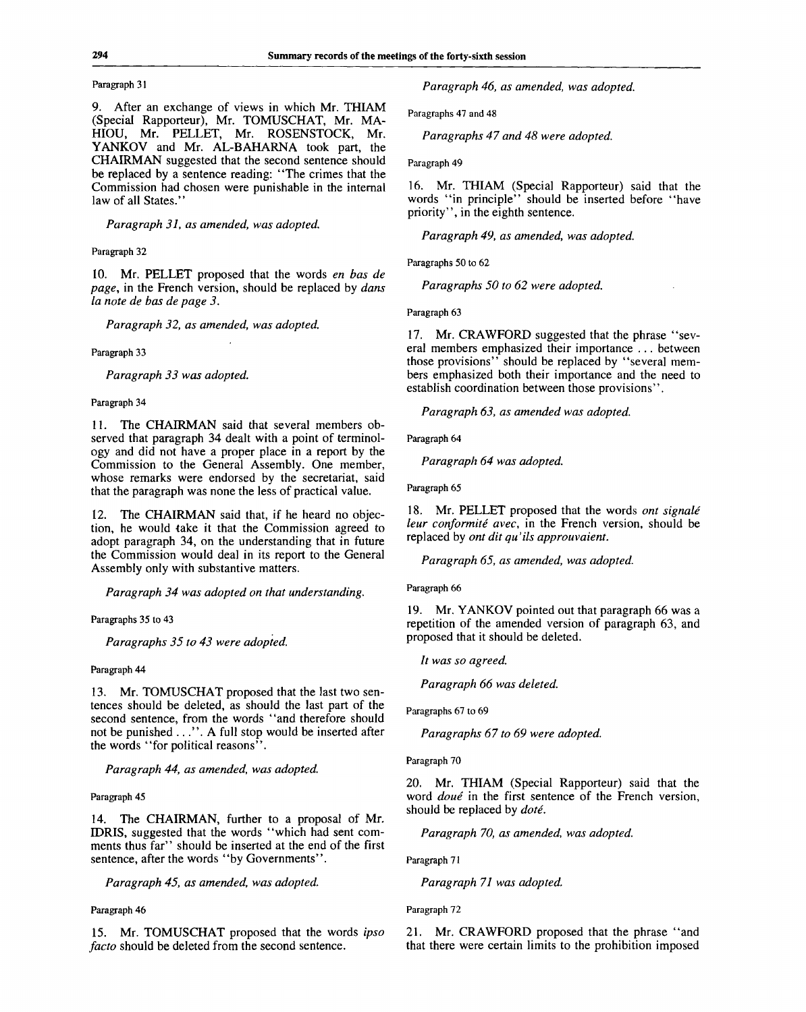#### Paragraph 3**1**

9. After an exchange of views in which Mr. THIAM (Special Rapporteur), Mr. TOMUSCHAT, Mr. MA-HIOU, Mr. PELLET, Mr. ROSENSTOCK, Mr. YANKOV and Mr. AL-BAHARNA took part, the CHAIRMAN suggested that the second sentence should be replaced by a sentence reading: "The crimes that the Commission had chosen were punishable in the internal law of all States."

*Paragraph 31, as amended, was adopted.*

#### Paragraph 32

10. Mr. PELLET proposed that the words *en has de page,* in the French version, should be replaced by *dans la note de has de page 3.*

*Paragraph 32, as amended, was adopted.*

Paragraph 33

*Paragraph 33 was adopted.*

Paragraph 34

11. The CHAIRMAN said that several members observed that paragraph 34 dealt with a point of terminology and did not have a proper place in a report by the Commission to the General Assembly. One member, whose remarks were endorsed by the secretariat, said that the paragraph was none the less of practical value.

12. The CHAIRMAN said that, if he heard no objection, he would take it that the Commission agreed to adopt paragraph 34, on the understanding that in future the Commission would deal in its report to the General Assembly only with substantive matters.

*Paragraph 34 was adopted on that understanding.*

Paragraphs 35 to 43

*Paragraphs 35 to 43 were adopted.*

Paragraph 44

13. Mr. TOMUSCHAT proposed that the last two sentences should be deleted, as should the last part of the second sentence, from the words "and therefore should not be punished ..." . A full stop would be inserted after the words "for political reasons".

*Paragraph 44, as amended, was adopted.*

Paragraph 45

14. The CHAIRMAN, further to a proposal of Mr. IDRIS, suggested that the words "which had sent comments thus far" should be inserted at the end of the first sentence, after the words "by Governments".

*Paragraph 45, as amended, was adopted.*

Paragraph 46

15. Mr. TOMUSCHAT proposed that the words *ipso facto* should be deleted from the second sentence.

*Paragraph 46, as amended, was adopted.*

Paragraphs 47 and 48

*Paragraphs 47 and 48 were adopted.*

Paragraph 49

16. Mr. THIAM (Special Rapporteur) said that the words "in principle" should be inserted before "have priority", in the eighth sentence.

*Paragraph 49, as amended, was adopted.*

Paragraphs 50 to 62

*Paragraphs 50 to 62 were adopted.*

Paragraph 63

17. Mr. CRAWFORD suggested that the phrase "several members emphasized their importance . .. between those provisions" should be replaced by "several members emphasized both their importance and the need to establish coordination between those provisions".

*Paragraph 63, as amended was adopted.*

Paragraph 64

Paragraph 64 was adopted.

Paragraph 65

18. Mr. PELLET proposed that the words *ont signale leur conformite avec,* in the French version, should be replaced by *ont dit qu'ils approuvaient.*

*Paragraph 65, as amended, was adopted.*

Paragraph 66

19. Mr. YANKOV pointed out that paragraph 66 was a repetition of the amended version of paragraph 63, and proposed that it should be deleted.

*It was so agreed.*

*Paragraph 66 was deleted.*

Paragraphs 67 to 69

*Paragraphs 67 to 69 were adopted.*

Paragraph 70

20. Mr. THIAM (Special Rapporteur) said that the word *doue* in the first sentence of the French version, should be replaced by *dote.*

*Paragraph 70, as amended, was adopted.*

Paragraph 71

*Paragraph 71 was adopted.*

Paragraph 72

21. Mr. CRAWFORD proposed that the phrase "and that there were certain limits to the prohibition imposed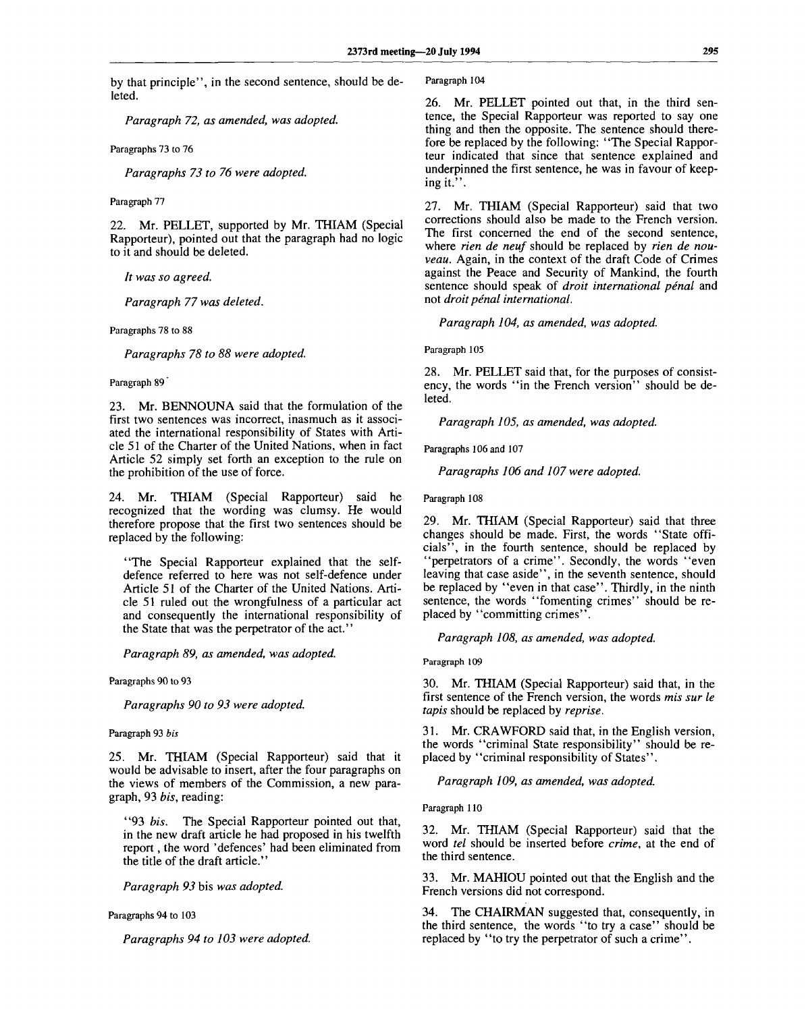by that principle", in the second sentence, should be deleted.

*Paragraph 72, as amended, was adopted.*

Paragraphs 73 to 76

*Paragraphs 73 to 76 were adopted.*

Paragraph 77

22. Mr. PELLET, supported by Mr. THIAM (Special Rapporteur), pointed out that the paragraph had no logic to it and should be deleted.

*It was so agreed.*

*Paragraph 77 was deleted.*

Paragraphs 78 to 88

*Paragraphs 78 to 88 were adopted.*

Paragraph 89

23. Mr. BENNOUNA said that the formulation of the first two sentences was incorrect, inasmuch as it associated the international responsibility of States with Article 51 of the Charter of the United Nations, when in fact Article 52 simply set forth an exception to the rule on the prohibition of the use of force.

24. Mr. THIAM (Special Rapporteur) said he recognized that the wording was clumsy. He would therefore propose that the first two sentences should be replaced by the following:

"The Special Rapporteur explained that the selfdefence referred to here was not self-defence under Article 51 of the Charter of the United Nations. Article 51 ruled out the wrongfulness of a particular act and consequently the international responsibility of the State that was the perpetrator of the act."

*Paragraph 89, as amended, was adopted.*

Paragraphs 90 to 93

*Paragraphs 90 to 93 were adopted.*

Paragraph 93 *bis*

25. Mr. THIAM (Special Rapporteur) said that it would be advisable to insert, after the four paragraphs on the views of members of the Commission, a new paragraph, 93 *bis,* reading:

"93 *bis.* The Special Rapporteur pointed out that, in the new draft article he had proposed in his twelfth report, the word 'defences' had been eliminated from the title of the draft article."

*Paragraph 93* bis *was adopted.*

Paragraphs 94 to 103

*Paragraphs 94 to 103 were adopted.*

Paragraph 104

26. Mr. PELLET pointed out that, in the third sentence, the Special Rapporteur was reported to say one thing and then the opposite. The sentence should therefore be replaced by the following: "The Special Rapporteur indicated that since that sentence explained and underpinned the first sentence, he was in favour of keeping it.".

27. Mr. THIAM (Special Rapporteur) said that two corrections should also be made to the French version. The first concerned the end of the second sentence, where *rien de neuf* should be replaced by *rien de nouveau.* Again, in the context of the draft Code of Crimes against the Peace and Security of Mankind, the fourth sentence should speak of *droit international pénal* and not *droit penal international.*

*Paragraph 104, as amended, was adopted.*

Paragraph 105

28. Mr. PELLET said that, for the purposes of consistency, the words "in the French version" should be deleted.

*Paragraph 105, as amended, was adopted.*

Paragraphs 106 and 107

*Paragraphs 106 and 107 were adopted.*

Paragraph 108

29. Mr. THIAM (Special Rapporteur) said that three changes should be made. First, the words "State officials", in the fourth sentence, should be replaced by "perpetrators of a crime". Secondly, the words "even leaving that case aside", in the seventh sentence, should be replaced by "even in that case". Thirdly, in the ninth sentence, the words "fomenting crimes" should be replaced by "committing crimes".

*Paragraph 108, as amended, was adopted.*

Paragraph 109

30. Mr. THIAM (Special Rapporteur) said that, in the first sentence of the French version, the words *mis sur le tapis* should be replaced by *reprise.*

31. Mr. CRAWFORD said that, in the English version, the words "criminal State responsibility" should be replaced by "criminal responsibility of States".

*Paragraph 109, as amended, was adopted.*

Paragraph 110

32. Mr. THIAM (Special Rapporteur) said that the word *tel* should be inserted before *crime,* at the end of the third sentence.

33. Mr. MAHIOU pointed out that the English and the French versions did not correspond.

34. The CHAIRMAN suggested that, consequently, in the third sentence, the words "to try a case" should be replaced by "to try the perpetrator of such a crime".